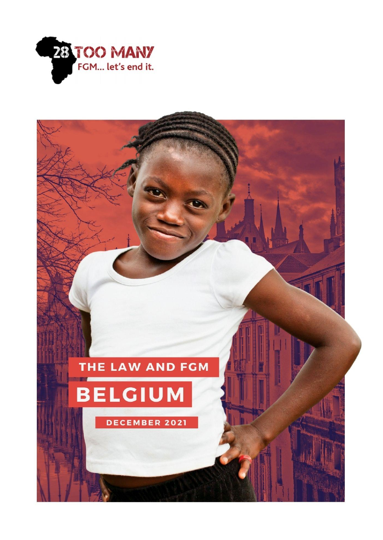

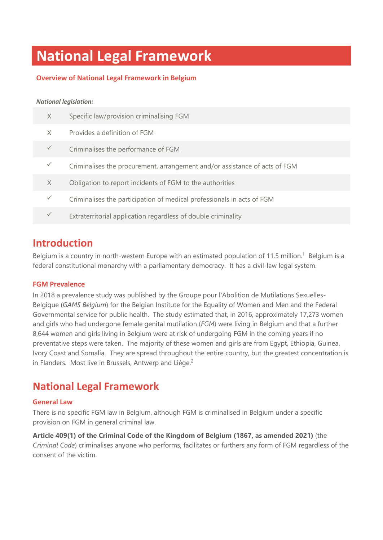## **National Legal Framework**

#### **Overview of National Legal Framework in Belgium**

#### *National legislation:*

| X            | Specific law/provision criminalising FGM                                   |
|--------------|----------------------------------------------------------------------------|
| X            | Provides a definition of FGM                                               |
| $\checkmark$ | Criminalises the performance of FGM                                        |
|              | Criminalises the procurement, arrangement and/or assistance of acts of FGM |
| X            | Obligation to report incidents of FGM to the authorities                   |
| $\checkmark$ | Criminalises the participation of medical professionals in acts of FGM     |
|              | Extraterritorial application regardless of double criminality              |

### **Introduction**

Belgium is a country in north-western Europe with an estimated population of 11.5 million.<sup>1</sup> Belgium is a federal constitutional monarchy with a parliamentary democracy. It has a civil-law legal system.

#### **FGM Prevalence**

In 2018 a prevalence study was published by the Groupe pour l'Abolition de Mutilations Sexuelles-Belgique (*GAMS Belgium*) for the Belgian Institute for the Equality of Women and Men and the Federal Governmental service for public health. The study estimated that, in 2016, approximately 17,273 women and girls who had undergone female genital mutilation (*FGM*) were living in Belgium and that a further 8,644 women and girls living in Belgium were at risk of undergoing FGM in the coming years if no preventative steps were taken. The majority of these women and girls are from Egypt, Ethiopia, Guinea, Ivory Coast and Somalia. They are spread throughout the entire country, but the greatest concentration is in Flanders. Most live in Brussels, Antwerp and Liège.<sup>2</sup>

### **National Legal Framework**

#### **General Law**

There is no specific FGM law in Belgium, although FGM is criminalised in Belgium under a specific provision on FGM in general criminal law.

**Article 409(1) of the Criminal Code of the Kingdom of Belgium (1867, as amended 2021)** (the *Criminal Code*) criminalises anyone who performs, facilitates or furthers any form of FGM regardless of the consent of the victim.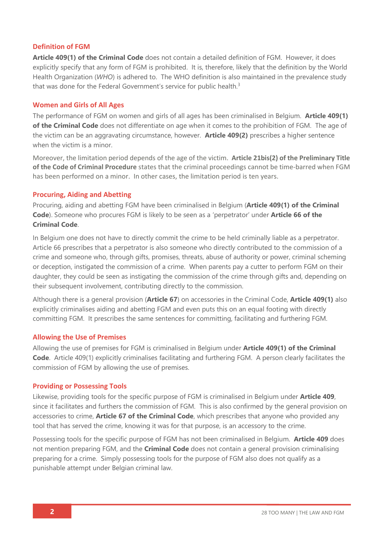#### **Definition of FGM**

**Article 409(1) of the Criminal Code** does not contain a detailed definition of FGM. However, it does explicitly specify that any form of FGM is prohibited. It is, therefore, likely that the definition by the World Health Organization (*WHO*) is adhered to. The WHO definition is also maintained in the prevalence study that was done for the Federal Government's service for public health.<sup>3</sup>

#### **Women and Girls of All Ages**

The performance of FGM on women and girls of all ages has been criminalised in Belgium. **Article 409(1) of the Criminal Code** does not differentiate on age when it comes to the prohibition of FGM. The age of the victim can be an aggravating circumstance, however. **Article 409(2)** prescribes a higher sentence when the victim is a minor.

Moreover, the limitation period depends of the age of the victim. **Article 21bis(2) of the Preliminary Title of the Code of Criminal Procedure** states that the criminal proceedings cannot be time-barred when FGM has been performed on a minor. In other cases, the limitation period is ten years.

#### **Procuring, Aiding and Abetting**

Procuring, aiding and abetting FGM have been criminalised in Belgium (**Article 409(1) of the Criminal Code**). Someone who procures FGM is likely to be seen as a 'perpetrator' under **Article 66 of the Criminal Code**.

In Belgium one does not have to directly commit the crime to be held criminally liable as a perpetrator. Article 66 prescribes that a perpetrator is also someone who directly contributed to the commission of a crime and someone who, through gifts, promises, threats, abuse of authority or power, criminal scheming or deception, instigated the commission of a crime. When parents pay a cutter to perform FGM on their daughter, they could be seen as instigating the commission of the crime through gifts and, depending on their subsequent involvement, contributing directly to the commission.

Although there is a general provision (**Article 67**) on accessories in the Criminal Code, **Article 409(1)** also explicitly criminalises aiding and abetting FGM and even puts this on an equal footing with directly committing FGM. It prescribes the same sentences for committing, facilitating and furthering FGM.

#### **Allowing the Use of Premises**

Allowing the use of premises for FGM is criminalised in Belgium under **Article 409(1) of the Criminal Code**. Article 409(1) explicitly criminalises facilitating and furthering FGM. A person clearly facilitates the commission of FGM by allowing the use of premises.

#### **Providing or Possessing Tools**

Likewise, providing tools for the specific purpose of FGM is criminalised in Belgium under **Article 409**, since it facilitates and furthers the commission of FGM. This is also confirmed by the general provision on accessories to crime, **Article 67 of the Criminal Code**, which prescribes that anyone who provided any tool that has served the crime, knowing it was for that purpose, is an accessory to the crime.

Possessing tools for the specific purpose of FGM has not been criminalised in Belgium. **Article 409** does not mention preparing FGM, and the **Criminal Code** does not contain a general provision criminalising preparing for a crime. Simply possessing tools for the purpose of FGM also does not qualify as a punishable attempt under Belgian criminal law.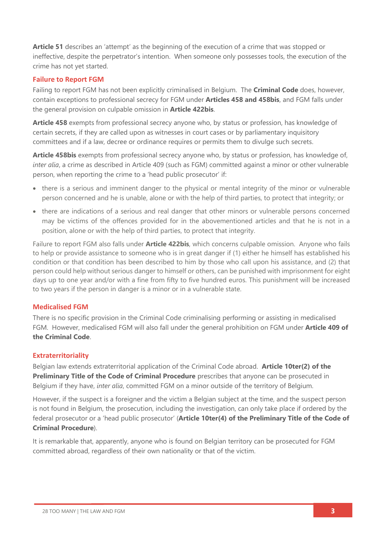**Article 51** describes an 'attempt' as the beginning of the execution of a crime that was stopped or ineffective, despite the perpetrator's intention. When someone only possesses tools, the execution of the crime has not yet started.

#### **Failure to Report FGM**

Failing to report FGM has not been explicitly criminalised in Belgium. The **Criminal Code** does, however, contain exceptions to professional secrecy for FGM under **Articles 458 and 458bis**, and FGM falls under the general provision on culpable omission in **Article 422bis**.

**Article 458** exempts from professional secrecy anyone who, by status or profession, has knowledge of certain secrets, if they are called upon as witnesses in court cases or by parliamentary inquisitory committees and if a law, decree or ordinance requires or permits them to divulge such secrets.

**Article 458bis** exempts from professional secrecy anyone who, by status or profession, has knowledge of, *inter alia*, a crime as described in Article 409 (such as FGM) committed against a minor or other vulnerable person, when reporting the crime to a 'head public prosecutor' if:

- there is a serious and imminent danger to the physical or mental integrity of the minor or vulnerable person concerned and he is unable, alone or with the help of third parties, to protect that integrity; or
- there are indications of a serious and real danger that other minors or vulnerable persons concerned may be victims of the offences provided for in the abovementioned articles and that he is not in a position, alone or with the help of third parties, to protect that integrity.

Failure to report FGM also falls under **Article 422bis**, which concerns culpable omission. Anyone who fails to help or provide assistance to someone who is in great danger if (1) either he himself has established his condition or that condition has been described to him by those who call upon his assistance, and (2) that person could help without serious danger to himself or others, can be punished with imprisonment for eight days up to one year and/or with a fine from fifty to five hundred euros. This punishment will be increased to two years if the person in danger is a minor or in a vulnerable state.

#### **Medicalised FGM**

There is no specific provision in the Criminal Code criminalising performing or assisting in medicalised FGM. However, medicalised FGM will also fall under the general prohibition on FGM under **Article 409 of the Criminal Code**.

#### **Extraterritoriality**

Belgian law extends extraterritorial application of the Criminal Code abroad. **Article 10ter(2) of the Preliminary Title of the Code of Criminal Procedure** prescribes that anyone can be prosecuted in Belgium if they have, *inter alia*, committed FGM on a minor outside of the territory of Belgium.

However, if the suspect is a foreigner and the victim a Belgian subject at the time, and the suspect person is not found in Belgium, the prosecution, including the investigation, can only take place if ordered by the federal prosecutor or a 'head public prosecutor' (**Article 10ter(4) of the Preliminary Title of the Code of Criminal Procedure**).

It is remarkable that, apparently, anyone who is found on Belgian territory can be prosecuted for FGM committed abroad, regardless of their own nationality or that of the victim.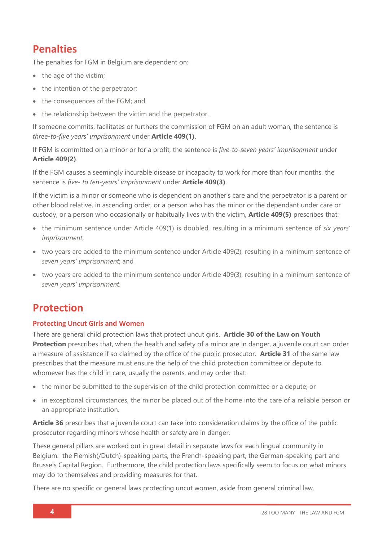## **Penalties**

The penalties for FGM in Belgium are dependent on:

- the age of the victim;
- the intention of the perpetrator;
- the consequences of the FGM; and
- the relationship between the victim and the perpetrator.

If someone commits, facilitates or furthers the commission of FGM on an adult woman, the sentence is *three-to-five years' imprisonment* under **Article 409(1)**.

If FGM is committed on a minor or for a profit, the sentence is *five-to-seven years' imprisonment* under **Article 409(2)**.

If the FGM causes a seemingly incurable disease or incapacity to work for more than four months, the sentence is *five- to ten-years' imprisonment* under **Article 409(3)**.

If the victim is a minor or someone who is dependent on another's care and the perpetrator is a parent or other blood relative, in ascending order, or a person who has the minor or the dependant under care or custody, or a person who occasionally or habitually lives with the victim, **Article 409(5)** prescribes that:

- the minimum sentence under Article 409(1) is doubled, resulting in a minimum sentence of *six years' imprisonment*;
- two years are added to the minimum sentence under Article 409(2), resulting in a minimum sentence of *seven years' imprisonment*; and
- two years are added to the minimum sentence under Article 409(3), resulting in a minimum sentence of *seven years' imprisonment*.

## **Protection**

#### **Protecting Uncut Girls and Women**

There are general child protection laws that protect uncut girls. **Article 30 of the Law on Youth Protection** prescribes that, when the health and safety of a minor are in danger, a juvenile court can order a measure of assistance if so claimed by the office of the public prosecutor. **Article 31** of the same law prescribes that the measure must ensure the help of the child protection committee or depute to whomever has the child in care, usually the parents, and may order that:

- the minor be submitted to the supervision of the child protection committee or a depute; or
- in exceptional circumstances, the minor be placed out of the home into the care of a reliable person or an appropriate institution.

**Article 36** prescribes that a juvenile court can take into consideration claims by the office of the public prosecutor regarding minors whose health or safety are in danger.

These general pillars are worked out in great detail in separate laws for each lingual community in Belgium: the Flemish(/Dutch)-speaking parts, the French-speaking part, the German-speaking part and Brussels Capital Region. Furthermore, the child protection laws specifically seem to focus on what minors may do to themselves and providing measures for that.

There are no specific or general laws protecting uncut women, aside from general criminal law.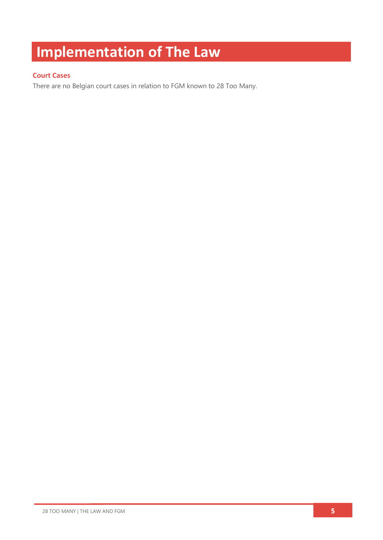# **Implementation of The Law**

#### **Court Cases**

There are no Belgian court cases in relation to FGM known to 28 Too Many.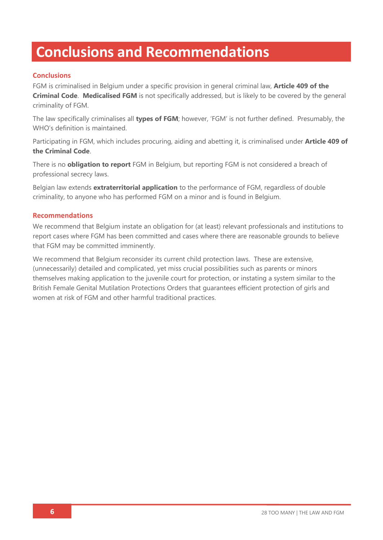## **Conclusions and Recommendations**

#### **Conclusions**

FGM is criminalised in Belgium under a specific provision in general criminal law, **Article 409 of the Criminal Code**. **Medicalised FGM** is not specifically addressed, but is likely to be covered by the general criminality of FGM.

The law specifically criminalises all **types of FGM**; however, 'FGM' is not further defined. Presumably, the WHO's definition is maintained.

Participating in FGM, which includes procuring, aiding and abetting it, is criminalised under **Article 409 of the Criminal Code**.

There is no **obligation to report** FGM in Belgium, but reporting FGM is not considered a breach of professional secrecy laws.

Belgian law extends **extraterritorial application** to the performance of FGM, regardless of double criminality, to anyone who has performed FGM on a minor and is found in Belgium.

#### **Recommendations**

We recommend that Belgium instate an obligation for (at least) relevant professionals and institutions to report cases where FGM has been committed and cases where there are reasonable grounds to believe that FGM may be committed imminently.

We recommend that Belgium reconsider its current child protection laws. These are extensive, (unnecessarily) detailed and complicated, yet miss crucial possibilities such as parents or minors themselves making application to the juvenile court for protection, or instating a system similar to the British Female Genital Mutilation Protections Orders that guarantees efficient protection of girls and women at risk of FGM and other harmful traditional practices.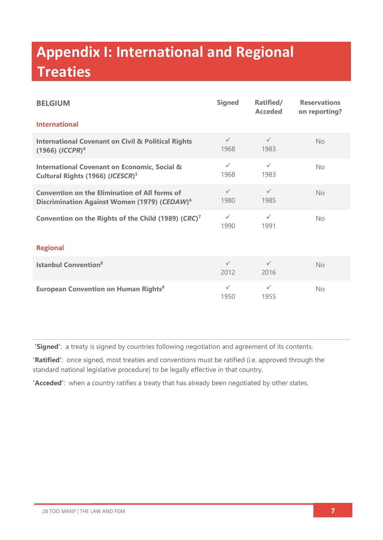# **Appendix I: International and Regional Treaties**

| <b>BELGIUM</b>                                                                                                   | <b>Signed</b>        | Ratified/<br><b>Acceded</b> | <b>Reservations</b><br>on reporting? |  |  |
|------------------------------------------------------------------------------------------------------------------|----------------------|-----------------------------|--------------------------------------|--|--|
| <b>International</b>                                                                                             |                      |                             |                                      |  |  |
| <b>International Covenant on Civil &amp; Political Rights</b><br>$(1966)$ $(ICCPR)^4$                            | $\checkmark$<br>1968 | $\checkmark$<br>1983        | No                                   |  |  |
| <b>International Covenant on Economic, Social &amp;</b><br>Cultural Rights (1966) (ICESCR) <sup>5</sup>          | $\checkmark$<br>1968 | $\checkmark$<br>1983        | No.                                  |  |  |
| <b>Convention on the Elimination of All forms of</b><br>Discrimination Against Women (1979) (CEDAW) <sup>6</sup> | $\checkmark$<br>1980 | $\checkmark$<br>1985        | <b>No</b>                            |  |  |
| Convention on the Rights of the Child (1989) (CRC) <sup>7</sup>                                                  | $\checkmark$<br>1990 | $\checkmark$<br>1991        | No                                   |  |  |
| <b>Regional</b>                                                                                                  |                      |                             |                                      |  |  |
| <b>Istanbul Convention</b> <sup>8</sup>                                                                          | $\checkmark$<br>2012 | $\checkmark$<br>2016        | No                                   |  |  |
| <b>European Convention on Human Rights<sup>9</sup></b>                                                           | $\checkmark$<br>1950 | $\checkmark$<br>1955        | <b>No</b>                            |  |  |

**'Signed'**: a treaty is signed by countries following negotiation and agreement of its contents.

**'Ratified'**: once signed, most treaties and conventions must be ratified (i.e. approved through the standard national legislative procedure) to be legally effective in that country.

**'Acceded'**: when a country ratifies a treaty that has already been negotiated by other states.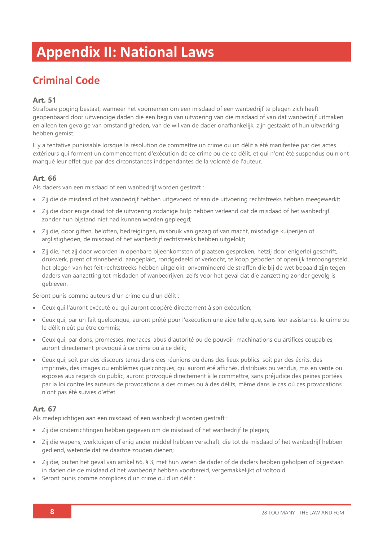## **Appendix II: National Laws**

## **Criminal Code**

#### **Art. 51**

Strafbare poging bestaat, wanneer het voornemen om een misdaad of een wanbedrijf te plegen zich heeft geopenbaard door uitwendige daden die een begin van uitvoering van die misdaad of van dat wanbedrijf uitmaken en alleen ten gevolge van omstandigheden, van de wil van de dader onafhankelijk, zijn gestaakt of hun uitwerking hebben gemist.

Il y a tentative punissable lorsque la résolution de commettre un crime ou un délit a été manifestée par des actes extérieurs qui forment un commencement d'exécution de ce crime ou de ce délit, et qui n'ont été suspendus ou n'ont manqué leur effet que par des circonstances indépendantes de la volonté de l'auteur.

#### **Art. 66**

Als daders van een misdaad of een wanbedrijf worden gestraft :

- Zij die de misdaad of het wanbedrijf hebben uitgevoerd of aan de uitvoering rechtstreeks hebben meegewerkt;
- Zij die door enige daad tot de uitvoering zodanige hulp hebben verleend dat de misdaad of het wanbedrijf zonder hun bijstand niet had kunnen worden gepleegd;
- Zij die, door giften, beloften, bedreigingen, misbruik van gezag of van macht, misdadige kuiperijen of arglistigheden, de misdaad of het wanbedrijf rechtstreeks hebben uitgelokt;
- Zij die, het zij door woorden in openbare bijeenkomsten of plaatsen gesproken, hetzij door enigerlei geschrift, drukwerk, prent of zinnebeeld, aangeplakt, rondgedeeld of verkocht, te koop geboden of openlijk tentoongesteld, het plegen van het feit rechtstreeks hebben uitgelokt, onverminderd de straffen die bij de wet bepaald zijn tegen daders van aanzetting tot misdaden of wanbedrijven, zelfs voor het geval dat die aanzetting zonder gevolg is gebleven.

Seront punis comme auteurs d'un crime ou d'un délit :

- Ceux qui l'auront exécuté ou qui auront coopéré directement à son exécution;
- Ceux qui, par un fait quelconque, auront prêté pour l'exécution une aide telle que, sans leur assistance, le crime ou le délit n'eût pu être commis;
- Ceux qui, par dons, promesses, menaces, abus d'autorité ou de pouvoir, machinations ou artifices coupables, auront directement provoqué à ce crime ou à ce délit;
- Ceux qui, soit par des discours tenus dans des réunions ou dans des lieux publics, soit par des écrits, des imprimés, des images ou emblèmes quelconques, qui auront été affichés, distribués ou vendus, mis en vente ou exposes aux regards du public, auront provoqué directement à le commettre, sans préjudice des peines portées par la loi contre les auteurs de provocations à des crimes ou à des délits, même dans le cas où ces provocations n'ont pas été suivies d'effet.

#### **Art. 67**

Als medeplichtigen aan een misdaad of een wanbedrijf worden gestraft :

- Zij die onderrichtingen hebben gegeven om de misdaad of het wanbedrijf te plegen;
- Zij die wapens, werktuigen of enig ander middel hebben verschaft, die tot de misdaad of het wanbedrijf hebben gediend, wetende dat ze daartoe zouden dienen;
- Zij die, buiten het geval van artikel 66, § 3, met hun weten de dader of de daders hebben geholpen of bijgestaan in daden die de misdaad of het wanbedrijf hebben voorbereid, vergemakkelijkt of voltooid.
- Seront punis comme complices d'un crime ou d'un délit :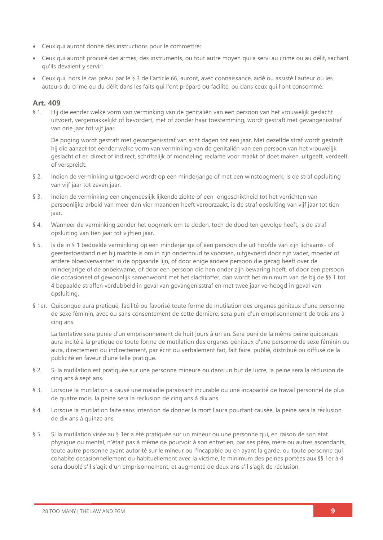- Ceux qui auront donné des instructions pour le commettre;
- Ceux qui auront procuré des armes, des instruments, ou tout autre moyen qui a servi au crime ou au délit, sachant qu'ils devaient y servir;
- Ceux qui, hors le cas prévu par le § 3 de l'article 66, auront, avec connaissance, aidé ou assisté l'auteur ou les auteurs du crime ou du délit dans les faits qui l'ont préparé ou facilité, ou dans ceux qui l'ont consommé.

#### **Art. 409**

§ 1. Hij die eender welke vorm van verminking van de genitaliën van een persoon van het vrouwelijk geslacht uitvoert, vergemakkelijkt of bevordert, met of zonder haar toestemming, wordt gestraft met gevangenisstraf van drie jaar tot vijf jaar.

De poging wordt gestraft met gevangenisstraf van acht dagen tot een jaar. Met dezelfde straf wordt gestraft hij die aanzet tot eender welke vorm van verminking van de genitaliën van een persoon van het vrouwelijk geslacht of er, direct of indirect, schriftelijk of mondeling reclame voor maakt of doet maken, uitgeeft, verdeelt of verspreidt.

- § 2. Indien de verminking uitgevoerd wordt op een minderjarige of met een winstoogmerk, is de straf opsluiting van vijf jaar tot zeven jaar.
- § 3. Indien de verminking een ongeneeslijk lijkende ziekte of een ongeschiktheid tot het verrichten van persoonlijke arbeid van meer dan vier maanden heeft veroorzaakt, is de straf opsluiting van vijf jaar tot tien jaar.
- § 4. Wanneer de verminking zonder het oogmerk om te doden, toch de dood ten gevolge heeft, is de straf opsluiting van tien jaar tot vijftien jaar.
- § 5. Is de in § 1 bedoelde verminking op een minderjarige of een persoon die uit hoofde van zijn lichaams- of geestestoestand niet bij machte is om in zijn onderhoud te voorzien, uitgevoerd door zijn vader, moeder of andere bloedverwanten in de opgaande lijn, of door enige andere persoon die gezag heeft over de minderjarige of de onbekwame, of door een persoon die hen onder zijn bewaring heeft, of door een persoon die occasioneel of gewoonlijk samenwoont met het slachtoffer, dan wordt het minimum van de bij de §§ 1 tot 4 bepaalde straffen verdubbeld in geval van gevangenisstraf en met twee jaar verhoogd in geval van opsluiting.
- § 1er. Quiconque aura pratiqué, facilité ou favorisé toute forme de mutilation des organes génitaux d'une personne de sexe féminin, avec ou sans consentement de cette dernière, sera puni d'un emprisonnement de trois ans à cinq ans.

La tentative sera punie d'un emprisonnement de huit jours à un an. Sera puni de la même peine quiconque aura incité à la pratique de toute forme de mutilation des organes génitaux d'une personne de sexe féminin ou aura, directement ou indirectement, par écrit ou verbalement fait, fait faire, publié, distribué ou diffusé de la publicité en faveur d'une telle pratique.

- § 2. Si la mutilation est pratiquée sur une personne mineure ou dans un but de lucre, la peine sera la réclusion de cinq ans à sept ans.
- § 3. Lorsque la mutilation a causé une maladie paraissant incurable ou une incapacité de travail personnel de plus de quatre mois, la peine sera la réclusion de cinq ans à dix ans.
- § 4. Lorsque la mutilation faite sans intention de donner la mort l'aura pourtant causée, la peine sera la réclusion de dix ans à quinze ans.
- § 5. Si la mutilation visée au § 1er a été pratiquée sur un mineur ou une personne qui, en raison de son état physique ou mental, n'était pas à même de pourvoir à son entretien, par ses père, mère ou autres ascendants, toute autre personne ayant autorité sur le mineur ou l'incapable ou en ayant la garde, ou toute personne qui cohabite occasionnellement ou habituellement avec la victime, le minimum des peines portées aux §§ 1er à 4 sera doublé s'il s'agit d'un emprisonnement, et augmenté de deux ans s'il s'agit de réclusion.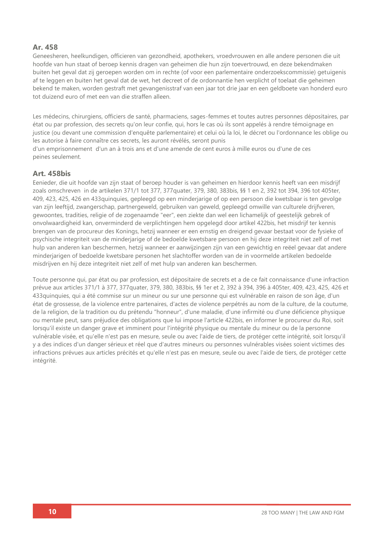#### **Ar. 458**

Geneesheren, heelkundigen, officieren van gezondheid, apothekers, vroedvrouwen en alle andere personen die uit hoofde van hun staat of beroep kennis dragen van geheimen die hun zijn toevertrouwd, en deze bekendmaken buiten het geval dat zij geroepen worden om in rechte (of voor een parlementaire onderzoekscommissie) getuigenis af te leggen en buiten het geval dat de wet, het decreet of de ordonnantie hen verplicht of toelaat die geheimen bekend te maken, worden gestraft met gevangenisstraf van een jaar tot drie jaar en een geldboete van honderd euro tot duizend euro of met een van die straffen alleen.

Les médecins, chirurgiens, officiers de santé, pharmaciens, sages-femmes et toutes autres personnes dépositaires, par état ou par profession, des secrets qu'on leur confie, qui, hors le cas où ils sont appelés à rendre témoignage en justice (ou devant une commission d'enquête parlementaire) et celui où la loi, le décret ou l'ordonnance les oblige ou les autorise à faire connaître ces secrets, les auront révélés, seront punis

d'un emprisonnement d'un an à trois ans et d'une amende de cent euros à mille euros ou d'une de ces peines seulement.

#### **Art. 458bis**

Eenieder, die uit hoofde van zijn staat of beroep houder is van geheimen en hierdoor kennis heeft van een misdrijf zoals omschreven in de artikelen 371/1 tot 377, 377quater, 379, 380, 383bis, §§ 1 en 2, 392 tot 394, 396 tot 405ter, 409, 423, 425, 426 en 433quinquies, gepleegd op een minderjarige of op een persoon die kwetsbaar is ten gevolge van zijn leeftijd, zwangerschap, partnergeweld, gebruiken van geweld, gepleegd omwille van culturele drijfveren, gewoontes, tradities, religie of de zogenaamde "eer", een ziekte dan wel een lichamelijk of geestelijk gebrek of onvolwaardigheid kan, onverminderd de verplichtingen hem opgelegd door artikel 422bis, het misdrijf ter kennis brengen van de procureur des Konings, hetzij wanneer er een ernstig en dreigend gevaar bestaat voor de fysieke of psychische integriteit van de minderjarige of de bedoelde kwetsbare persoon en hij deze integriteit niet zelf of met hulp van anderen kan beschermen, hetzij wanneer er aanwijzingen zijn van een gewichtig en reëel gevaar dat andere minderjarigen of bedoelde kwetsbare personen het slachtoffer worden van de in voormelde artikelen bedoelde misdrijven en hij deze integriteit niet zelf of met hulp van anderen kan beschermen.

Toute personne qui, par état ou par profession, est dépositaire de secrets et a de ce fait connaissance d'une infraction prévue aux articles 371/1 à 377, 377quater, 379, 380, 383bis, §§ 1er et 2, 392 à 394, 396 à 405ter, 409, 423, 425, 426 et 433quinquies, qui a été commise sur un mineur ou sur une personne qui est vulnérable en raison de son âge, d'un état de grossesse, de la violence entre partenaires, d'actes de violence perpétrés au nom de la culture, de la coutume, de la religion, de la tradition ou du prétendu "honneur", d'une maladie, d'une infirmité ou d'une déficience physique ou mentale peut, sans préjudice des obligations que lui impose l'article 422bis, en informer le procureur du Roi, soit lorsqu'il existe un danger grave et imminent pour l'intégrité physique ou mentale du mineur ou de la personne vulnérable visée, et qu'elle n'est pas en mesure, seule ou avec l'aide de tiers, de protéger cette intégrité, soit lorsqu'il y a des indices d'un danger sérieux et réel que d'autres mineurs ou personnes vulnérables visées soient victimes des infractions prévues aux articles précités et qu'elle n'est pas en mesure, seule ou avec l'aide de tiers, de protéger cette intégrité.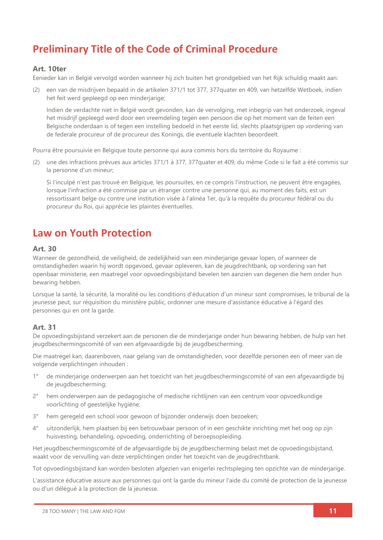## **Preliminary Title of the Code of Criminal Procedure**

#### **Art. 10ter**

Eenieder kan in België vervolgd worden wanneer hij zich buiten het grondgebied van het Rijk schuldig maakt aan:

(2) een van de misdrijven bepaald in de artikelen 371/1 tot 377, 377quater en 409, van hetzelfde Wetboek, indien het feit werd gepleegd op een minderjarige;

Indien de verdachte niet in België wordt gevonden, kan de vervolging, met inbegrip van het onderzoek, ingeval het misdrijf gepleegd werd door een vreemdeling tegen een persoon die op het moment van de feiten een Belgische onderdaan is of tegen een instelling bedoeld in het eerste lid, slechts plaatsgrijpen op vordering van de federale procureur of de procureur des Konings, die eventuele klachten beoordeelt.

Pourra être poursuivie en Belgique toute personne qui aura commis hors du territoire du Royaume :

(2) une des infractions prévues aux articles 371/1 à 377, 377quater et 409, du même Code si le fait a été commis sur la personne d'un mineur;

Si l'inculpé n'est pas trouvé en Belgique, les poursuites, en ce compris l'instruction, ne peuvent être engagées, lorsque l'infraction a été commise par un étranger contre une personne qui, au moment des faits, est un ressortissant belge ou contre une institution visée à l'alinéa 1er, qu'à la requête du procureur fédéral ou du procureur du Roi, qui apprécie les plaintes éventuelles.

### **Law on Youth Protection**

#### **Art. 30**

Wanneer de gezondheid, de veiligheid, de zedelijkheid van een minderjarige gevaar lopen, of wanneer de omstandigheden waarin hij wordt opgevoed, gevaar opleveren, kan de jeugdrechtbank, op vordering van het openbaar ministerie, een maatregel voor opvoedingsbijstand bevelen ten aanzien van degenen die hem onder hun bewaring hebben.

Lorsque la santé, la sécurité, la moralité ou les conditions d'éducation d'un mineur sont compromises, le tribunal de la jeunesse peut, sur réquisition du ministère public, ordonner une mesure d'assistance éducative à l'égard des personnes qui en ont la garde.

#### **Art. 31**

De opvoedingsbijstand verzekert aan de personen die de minderjarige onder hun bewaring hebben, de hulp van het jeugdbeschermingscomité of van een afgevaardigde bij de jeugdbescherming.

Die maatregel kan, daarenboven, naar gelang van de omstandigheden, voor dezelfde personen een of meer van de volgende verplichtingen inhouden :

- 1° de minderjarige onderwerpen aan het toezicht van het jeugdbeschermingscomité of van een afgevaardigde bij de jeugdbescherming;
- 2° hem onderwerpen aan de pedagogische of medische richtlijnen van een centrum voor opvoedkundige voorlichting of geestelijke hygiëne;
- 3° hem geregeld een school voor gewoon of bijzonder onderwijs doen bezoeken;
- 4° uitzonderlijk, hem plaatsen bij een betrouwbaar persoon of in een geschikte inrichting met het oog op zijn huisvesting, behandeling, opvoeding, onderrichting of beroepsopleiding.

Het jeugdbeschermingscomité of de afgevaardigde bij de jeugdbescherming belast met de opvoedingsbijstand, waakt voor de vervulling van deze verplichtingen onder het toezicht van de jeugdrechtbank.

Tot opvoedingsbijstand kan worden besloten afgezien van enigerlei rechtspleging ten opzichte van de minderjarige.

L'assistance éducative assure aux personnes qui ont la garde du mineur l'aide du comité de protection de la jeunesse ou d'un délégué à la protection de la jeunesse.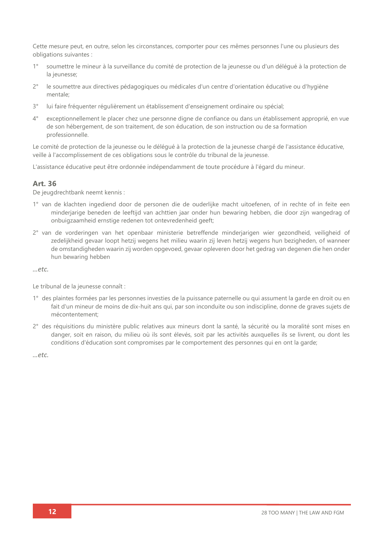Cette mesure peut, en outre, selon les circonstances, comporter pour ces mêmes personnes l'une ou plusieurs des obligations suivantes :

- 1° soumettre le mineur à la surveillance du comité de protection de la jeunesse ou d'un délégué à la protection de la jeunesse;
- 2° le soumettre aux directives pédagogiques ou médicales d'un centre d'orientation éducative ou d'hygiène mentale;
- 3° lui faire fréquenter régulièrement un établissement d'enseignement ordinaire ou spécial;
- 4° exceptionnellement le placer chez une personne digne de confiance ou dans un établissement approprié, en vue de son hébergement, de son traitement, de son éducation, de son instruction ou de sa formation professionnelle.

Le comité de protection de la jeunesse ou le délégué à la protection de la jeunesse chargé de l'assistance éducative, veille à l'accomplissement de ces obligations sous le contrôle du tribunal de la jeunesse.

L'assistance éducative peut être ordonnée indépendamment de toute procédure à l'égard du mineur.

#### **Art. 36**

De jeugdrechtbank neemt kennis :

- 1° van de klachten ingediend door de personen die de ouderlijke macht uitoefenen, of in rechte of in feite een minderjarige beneden de leeftijd van achttien jaar onder hun bewaring hebben, die door zijn wangedrag of onbuigzaamheid ernstige redenen tot ontevredenheid geeft;
- 2° van de vorderingen van het openbaar ministerie betreffende minderjarigen wier gezondheid, veiligheid of zedelijkheid gevaar loopt hetzij wegens het milieu waarin zij leven hetzij wegens hun bezigheden, of wanneer de omstandigheden waarin zij worden opgevoed, gevaar opleveren door het gedrag van degenen die hen onder hun bewaring hebben

*…etc.*

Le tribunal de la jeunesse connaît :

- 1° des plaintes formées par les personnes investies de la puissance paternelle ou qui assument la garde en droit ou en fait d'un mineur de moins de dix-huit ans qui, par son inconduite ou son indiscipline, donne de graves sujets de mécontentement;
- 2° des réquisitions du ministère public relatives aux mineurs dont la santé, la sécurité ou la moralité sont mises en danger, soit en raison, du milieu où ils sont élevés, soit par les activités auxquelles ils se livrent, ou dont les conditions d'éducation sont compromises par le comportement des personnes qui en ont la garde;

*…etc.*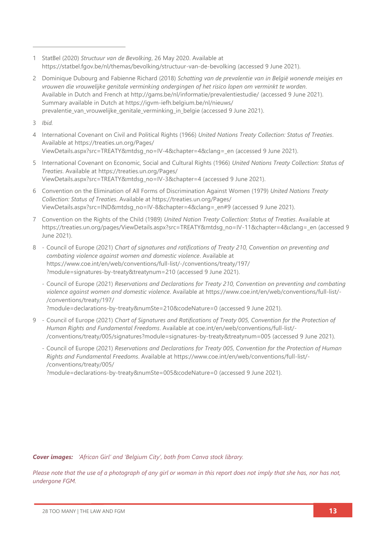- 1 StatBel (2020) *Structuur van de Bevolking*, 26 May 2020. Available at <https://statbel.fgov.be/nl/themas/bevolking/structuur-van-de-bevolking> (accessed 9 June 2021).
- 2 Dominique Dubourg and Fabienne Richard (2018) *Schatting van de prevalentie van in België wonende meisjes en vrouwen die vrouwelijke genitale verminking ondergingen of het risico lopen om verminkt te worden.*  Available in Dutch and French at<http://gams.be/nl/informatie/prevalentiestudie/> (accessed 9 June 2021). Summary available in Dutch at [https://igvm-iefh.belgium.be/nl/nieuws/](https://igvm-iefh.belgium.be/nl/nieuws/prevalentie_van_vrouwelijke_genitale_verminking_in_belgie) [prevalentie\\_van\\_vrouwelijke\\_genitale\\_verminking\\_in\\_belgie](https://igvm-iefh.belgium.be/nl/nieuws/prevalentie_van_vrouwelijke_genitale_verminking_in_belgie) (accessed 9 June 2021).

3 *Ibid.*

- 4 International Covenant on Civil and Political Rights (1966) *United Nations Treaty Collection: Status of Treaties*. Available at [https://treaties.un.org/Pages/](https://treaties.un.org/Pages/ViewDetails.aspx?src=TREATY&mtdsg_no=IV-4&chapter=4&clang=_en) [ViewDetails.aspx?src=TREATY&mtdsg\\_no=IV-4&chapter=4&clang=\\_en](https://treaties.un.org/Pages/ViewDetails.aspx?src=TREATY&mtdsg_no=IV-4&chapter=4&clang=_en) (accessed 9 June 2021).
- 5 International Covenant on Economic, Social and Cultural Rights (1966) *United Nations Treaty Collection: Status of Treaties*. Available at [https://treaties.un.org/Pages/](https://treaties.un.org/Pages/ViewDetails.aspx?src=TREATY&mtdsg_no=IV-3&chapter=4) [ViewDetails.aspx?src=TREATY&mtdsg\\_no=IV-3&chapter=4](https://treaties.un.org/Pages/ViewDetails.aspx?src=TREATY&mtdsg_no=IV-3&chapter=4) (accessed 9 June 2021).
- 6 Convention on the Elimination of All Forms of Discrimination Against Women (1979) *United Nations Treaty Collection: Status of Treaties*. Available at [https://treaties.un.org/Pages/](https://treaties.un.org/Pages/ViewDetails.aspx?src=IND&mtdsg_no=IV-8&chapter=4&clang=_en#9) [ViewDetails.aspx?src=IND&mtdsg\\_no=IV-8&chapter=4&clang=\\_en#9](https://treaties.un.org/Pages/ViewDetails.aspx?src=IND&mtdsg_no=IV-8&chapter=4&clang=_en#9) (accessed 9 June 2021).
- 7 Convention on the Rights of the Child (1989) *United Nation Treaty Collection: Status of Treaties*. Available at [https://treaties.un.org/pages/ViewDetails.aspx?src=TREATY&mtdsg\\_no=IV-11&chapter=4&clang=\\_en](https://treaties.un.org/pages/ViewDetails.aspx?src=TREATY&mtdsg_no=IV-11&chapter=4&clang=_en) (accessed 9 June 2021).
- 8 Council of Europe (2021) *Chart of signatures and ratifications of Treaty 210, Convention on preventing and combating violence against women and domestic violence*. Available at [https://www.coe.int/en/web/conventions/full-list/-/conventions/treaty/197/](https://www.coe.int/en/web/conventions/full-list/-/conventions/treaty/197/?module=signatures-by-treaty&treatynum=210) [?module=signatures-by-treaty&treatynum=210](https://www.coe.int/en/web/conventions/full-list/-/conventions/treaty/197/?module=signatures-by-treaty&treatynum=210) (accessed 9 June 2021).
	- Council of Europe (2021) *Reservations and Declarations for Treaty 210, Convention on preventing and combating violence against women and domestic violence*. Available at [https://www.coe.int/en/web/conventions/full-list/-](https://www.coe.int/en/web/conventions/full-list/-/conventions/treaty/197/?module=declarations-by-treaty&numSte=210&codeNature=0) [/conventions/treaty/197/](https://www.coe.int/en/web/conventions/full-list/-/conventions/treaty/197/?module=declarations-by-treaty&numSte=210&codeNature=0) [?module=declarations-by-treaty&numSte=210&codeNature=0](https://www.coe.int/en/web/conventions/full-list/-/conventions/treaty/197/?module=declarations-by-treaty&numSte=210&codeNature=0) (accessed 9 June 2021).
- 9 Council of Europe (2021) *Chart of Signatures and Ratifications of Treaty 005, Convention for the Protection of Human Rights and Fundamental Freedoms*. Available at [coe.int/en/web/conventions/full-list/-](file://///System/Volumes/Data/Work%20files/28TooMany/28TM_EUReport%20Design/28TM_EUROPEReports/BELGIUM/coe.int/en/web/conventions/full-list/-/conventions/treaty/005/signatures%253fmodule=signatures-by-treaty&treatynum=005) [/conventions/treaty/005/signatures?module=signatures-by-treaty&treatynum=005](file://///System/Volumes/Data/Work%20files/28TooMany/28TM_EUReport%20Design/28TM_EUROPEReports/BELGIUM/coe.int/en/web/conventions/full-list/-/conventions/treaty/005/signatures%253fmodule=signatures-by-treaty&treatynum=005) (accessed 9 June 2021).
	- Council of Europe (2021) *Reservations and Declarations for Treaty 005, Convention for the Protection of Human Rights and Fundamental Freedoms*. Available at [https://www.coe.int/en/web/conventions/full-list/-](https://www.coe.int/en/web/conventions/full-list/-/conventions/treaty/005/?module=declarations-by-treaty&numSte=005&codeNature=0) [/conventions/treaty/005/](https://www.coe.int/en/web/conventions/full-list/-/conventions/treaty/005/?module=declarations-by-treaty&numSte=005&codeNature=0)

[?module=declarations-by-treaty&numSte=005&codeNature=0](https://www.coe.int/en/web/conventions/full-list/-/conventions/treaty/005/?module=declarations-by-treaty&numSte=005&codeNature=0) (accessed 9 June 2021).

*Cover images: 'African Girl' and 'Belgium City', both from Canva stock library.*

*Please note that the use of a photograph of any girl or woman in this report does not imply that she has, nor has not, undergone FGM.*